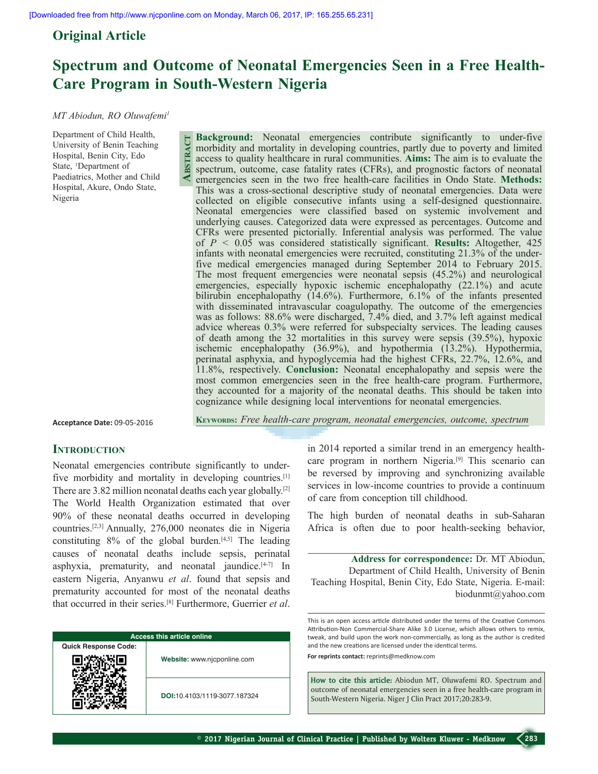**Abstract**

## **Original Article**

# **Spectrum and Outcome of Neonatal Emergencies Seen in a Free Health-Care Program in South-Western Nigeria**

#### *MT Abiodun, RO Oluwafemi1*

Department of Child Health, University of Benin Teaching Hospital, Benin City, Edo State, 1 Department of Paediatrics, Mother and Child Hospital, Akure, Ondo State, Nigeria

**Background:** Neonatal emergencies contribute significantly to under-five morbidity and mortality in developing countries, partly due to poverty and limited access to quality healthcare in rural communities. **Aims:** The aim is to evaluate the spectrum, outcome, case fatality rates (CFRs), and prognostic factors of neonatal emergencies seen in the two free health-care facilities in Ondo State. **Methods:** This was a cross-sectional descriptive study of neonatal emergencies. Data were collected on eligible consecutive infants using a self-designed questionnaire. Neonatal emergencies were classified based on systemic involvement and underlying causes. Categorized data were expressed as percentages. Outcome and CFRs were presented pictorially. Inferential analysis was performed. The value of *P <* 0.05 was considered statistically significant. **Results:** Altogether, 425 infants with neonatal emergencies were recruited, constituting 21.3% of the underfive medical emergencies managed during September 2014 to February 2015. The most frequent emergencies were neonatal sepsis (45.2%) and neurological emergencies, especially hypoxic ischemic encephalopathy (22.1%) and acute bilirubin encephalopathy (14.6%). Furthermore, 6.1% of the infants presented with disseminated intravascular coagulopathy. The outcome of the emergencies was as follows: 88.6% were discharged, 7.4% died, and 3.7% left against medical advice whereas 0.3% were referred for subspecialty services. The leading causes of death among the 32 mortalities in this survey were sepsis (39.5%), hypoxic ischemic encephalopathy (36.9%), and hypothermia (13.2%). Hypothermia, perinatal asphyxia, and hypoglycemia had the highest CFRs, 22.7%, 12.6%, and 11.8%, respectively. **Conclusion:** Neonatal encephalopathy and sepsis were the most common emergencies seen in the free health-care program. Furthermore, they accounted for a majority of the neonatal deaths. This should be taken into cognizance while designing local interventions for neonatal emergencies.

**Acceptance Date:** 09-05-2016

**Keywords:** *Free health-care program, neonatal emergencies, outcome, spectrum*

## **INTRODUCTION**

Neonatal emergencies contribute significantly to underfive morbidity and mortality in developing countries.<sup>[1]</sup> There are 3.82 million neonatal deaths each year globally.[2] The World Health Organization estimated that over 90% of these neonatal deaths occurred in developing countries.[2,3] Annually, 276,000 neonates die in Nigeria constituting  $8\%$  of the global burden.<sup>[4,5]</sup> The leading causes of neonatal deaths include sepsis, perinatal asphyxia, prematurity, and neonatal jaundice. $[4-7]$  In eastern Nigeria, Anyanwu *et al*. found that sepsis and prematurity accounted for most of the neonatal deaths that occurred in their series.[8] Furthermore, Guerrier *et al*.

| <b>Access this article online</b> |                              |  |  |  |
|-----------------------------------|------------------------------|--|--|--|
| <b>Quick Response Code:</b>       |                              |  |  |  |
|                                   | Website: www.njcponline.com  |  |  |  |
|                                   | DOI:10.4103/1119-3077.187324 |  |  |  |

in 2014 reported a similar trend in an emergency healthcare program in northern Nigeria.[9] This scenario can be reversed by improving and synchronizing available services in low-income countries to provide a continuum of care from conception till childhood.

The high burden of neonatal deaths in sub-Saharan Africa is often due to poor health-seeking behavior,

**Address for correspondence:** Dr. MT Abiodun, Department of Child Health, University of Benin Teaching Hospital, Benin City, Edo State, Nigeria. E-mail: biodunmt@yahoo.com

This is an open access article distributed under the terms of the Creative Commons Attribution-Non Commercial-Share Alike 3.0 License, which allows others to remix, tweak, and build upon the work non-commercially, as long as the author is credited and the new creations are licensed under the identical terms. **For reprints contact:** reprints@medknow.com

**How to cite this article:** Abiodun MT, Oluwafemi RO. Spectrum and outcome of neonatal emergencies seen in a free health-care program in South-Western Nigeria. Niger J Clin Pract 2017;20:283-9.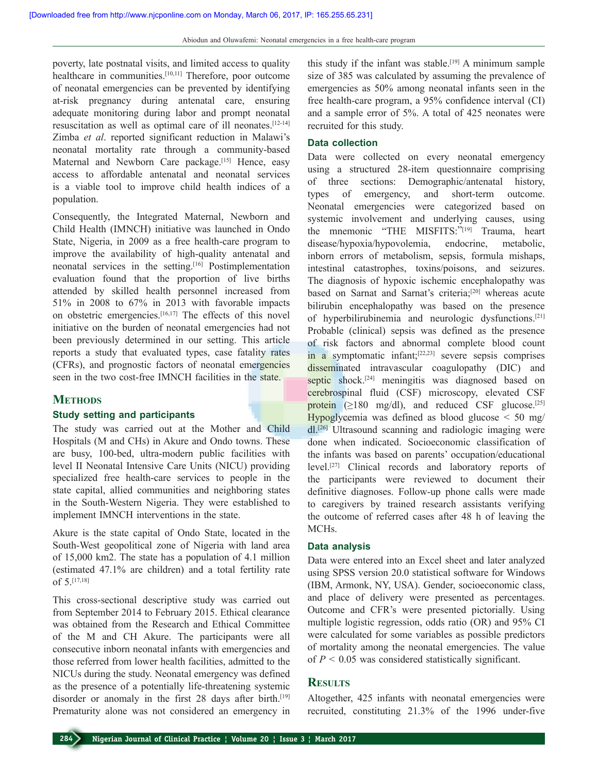poverty, late postnatal visits, and limited access to quality healthcare in communities.<sup>[10,11]</sup> Therefore, poor outcome of neonatal emergencies can be prevented by identifying at-risk pregnancy during antenatal care, ensuring adequate monitoring during labor and prompt neonatal resuscitation as well as optimal care of ill neonates.[12-14] Zimba *et al*. reported significant reduction in Malawi's neonatal mortality rate through a community-based Maternal and Newborn Care package.<sup>[15]</sup> Hence, easy access to affordable antenatal and neonatal services is a viable tool to improve child health indices of a population.

Consequently, the Integrated Maternal, Newborn and Child Health (IMNCH) initiative was launched in Ondo State, Nigeria, in 2009 as a free health-care program to improve the availability of high-quality antenatal and neonatal services in the setting.<sup>[16]</sup> Postimplementation evaluation found that the proportion of live births attended by skilled health personnel increased from 51% in 2008 to 67% in 2013 with favorable impacts on obstetric emergencies.[16,17] The effects of this novel initiative on the burden of neonatal emergencies had not been previously determined in our setting. This article reports a study that evaluated types, case fatality rates (CFRs), and prognostic factors of neonatal emergencies seen in the two cost-free IMNCH facilities in the state.

## **METHODS**

## **Study setting and participants**

The study was carried out at the Mother and Child Hospitals (M and CHs) in Akure and Ondo towns. These are busy, 100-bed, ultra-modern public facilities with level II Neonatal Intensive Care Units (NICU) providing specialized free health-care services to people in the state capital, allied communities and neighboring states in the South-Western Nigeria. They were established to implement IMNCH interventions in the state.

Akure is the state capital of Ondo State, located in the South-West geopolitical zone of Nigeria with land area of 15,000 km2. The state has a population of 4.1 million (estimated 47.1% are children) and a total fertility rate of 5.[17,18]

This cross-sectional descriptive study was carried out from September 2014 to February 2015. Ethical clearance was obtained from the Research and Ethical Committee of the M and CH Akure. The participants were all consecutive inborn neonatal infants with emergencies and those referred from lower health facilities, admitted to the NICUs during the study. Neonatal emergency was defined as the presence of a potentially life-threatening systemic disorder or anomaly in the first 28 days after birth.<sup>[19]</sup> Prematurity alone was not considered an emergency in

this study if the infant was stable.<sup>[19]</sup> A minimum sample size of 385 was calculated by assuming the prevalence of emergencies as 50% among neonatal infants seen in the free health-care program, a 95% confidence interval (CI) and a sample error of 5%. A total of 425 neonates were recruited for this study.

## **Data collection**

Data were collected on every neonatal emergency using a structured 28-item questionnaire comprising of three sections: Demographic/antenatal history, types of emergency, and short-term outcome. Neonatal emergencies were categorized based on systemic involvement and underlying causes, using the mnemonic "THE MISFITS:"[19] Trauma, heart disease/hypoxia/hypovolemia, endocrine, metabolic, inborn errors of metabolism, sepsis, formula mishaps, intestinal catastrophes, toxins/poisons, and seizures. The diagnosis of hypoxic ischemic encephalopathy was based on Sarnat and Sarnat's criteria;[20] whereas acute bilirubin encephalopathy was based on the presence of hyperbilirubinemia and neurologic dysfunctions.[21] Probable (clinical) sepsis was defined as the presence of risk factors and abnormal complete blood count  $\frac{1}{2}$  symptomatic infant;<sup>[22,23]</sup> severe sepsis comprises disseminated intravascular coagulopathy (DIC) and septic shock.<sup>[24]</sup> meningitis was diagnosed based on cerebrospinal fluid (CSF) microscopy, elevated CSF protein  $(≥180 \text{ mg/dl})$ , and reduced CSF glucose.<sup>[25]</sup> Hypoglycemia was defined as blood glucose < 50 mg/ dl.[26] Ultrasound scanning and radiologic imaging were done when indicated. Socioeconomic classification of the infants was based on parents' occupation/educational level.[27] Clinical records and laboratory reports of the participants were reviewed to document their definitive diagnoses. Follow-up phone calls were made to caregivers by trained research assistants verifying the outcome of referred cases after 48 h of leaving the MCHs.

#### **Data analysis**

Data were entered into an Excel sheet and later analyzed using SPSS version 20.0 statistical software for Windows (IBM, Armonk, NY, USA). Gender, socioeconomic class, and place of delivery were presented as percentages. Outcome and CFR's were presented pictorially. Using multiple logistic regression, odds ratio (OR) and 95% CI were calculated for some variables as possible predictors of mortality among the neonatal emergencies. The value of *P <* 0.05 was considered statistically significant.

## **Results**

Altogether, 425 infants with neonatal emergencies were recruited, constituting 21.3% of the 1996 under-five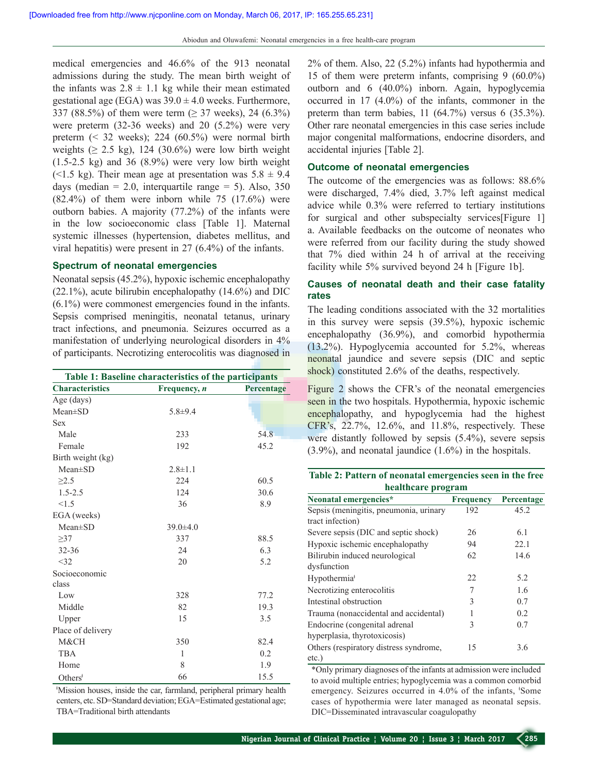medical emergencies and 46.6% of the 913 neonatal admissions during the study. The mean birth weight of the infants was  $2.8 \pm 1.1$  kg while their mean estimated gestational age (EGA) was  $39.0 \pm 4.0$  weeks. Furthermore, 337 (88.5%) of them were term ( $\geq$  37 weeks), 24 (6.3%) were preterm (32-36 weeks) and 20 (5.2%) were very preterm (< 32 weeks); 224 (60.5%) were normal birth weights ( $\geq$  2.5 kg), 124 (30.6%) were low birth weight  $(1.5-2.5 \text{ kg})$  and 36  $(8.9\%)$  were very low birth weight (<1.5 kg). Their mean age at presentation was  $5.8 \pm 9.4$ days (median  $= 2.0$ , interquartile range  $= 5$ ). Also, 350  $(82.4\%)$  of them were inborn while 75  $(17.6\%)$  were outborn babies. A majority (77.2%) of the infants were in the low socioeconomic class [Table 1]. Maternal systemic illnesses (hypertension, diabetes mellitus, and viral hepatitis) were present in 27 (6.4%) of the infants.

#### **Spectrum of neonatal emergencies**

Neonatal sepsis (45.2%), hypoxic ischemic encephalopathy  $(22.1\%)$ , acute bilirubin encephalopathy  $(14.6\%)$  and DIC (6.1%) were commonest emergencies found in the infants. Sepsis comprised meningitis, neonatal tetanus, urinary tract infections, and pneumonia. Seizures occurred as a manifestation of underlying neurological disorders in 4% of participants. Necrotizing enterocolitis was diagnosed in

| Table 1: Baseline characteristics of the participants |                |            |  |
|-------------------------------------------------------|----------------|------------|--|
| <b>Characteristics</b>                                | Frequency, n   | Percentage |  |
| Age (days)                                            |                |            |  |
| $Mean \pm SD$                                         | $5.8 + 9.4$    |            |  |
| <b>Sex</b>                                            |                |            |  |
| Male                                                  | 233            | 54.8       |  |
| Female                                                | 192            | 45.2       |  |
| Birth weight (kg)                                     |                |            |  |
| $Mean \pm SD$                                         | $2.8 \pm 1.1$  |            |  |
| $\geq$ 2.5                                            | 224            | 60.5       |  |
| $1.5 - 2.5$                                           | 124            | 30.6       |  |
| < 1.5                                                 | 36             | 8.9        |  |
| EGA (weeks)                                           |                |            |  |
| $Mean \pm SD$                                         | $39.0 \pm 4.0$ |            |  |
| >37                                                   | 337            | 88.5       |  |
| $32 - 36$                                             | 24             | 6.3        |  |
| $<$ 32                                                | 20             | 5.2        |  |
| Socioeconomic                                         |                |            |  |
| class                                                 |                |            |  |
| Low                                                   | 328            | 77.2       |  |
| Middle                                                | 82             | 19.3       |  |
| Upper                                                 | 15             | 3.5        |  |
| Place of delivery                                     |                |            |  |
| M&CH                                                  | 350            | 82.4       |  |
| <b>TBA</b>                                            | 1              | 0.2        |  |
| Home                                                  | 8              | 1.9        |  |
| Others <sup>†</sup>                                   | 66             | 15.5       |  |

ǂ Mission houses, inside the car, farmland, peripheral primary health centers, etc. SD=Standard deviation; EGA=Estimated gestational age; TBA=Traditional birth attendants

2% of them. Also, 22 (5.2%) infants had hypothermia and 15 of them were preterm infants, comprising 9 (60.0%) outborn and 6 (40.0%) inborn. Again, hypoglycemia occurred in 17 (4.0%) of the infants, commoner in the preterm than term babies, 11 (64.7%) versus 6 (35.3%). Other rare neonatal emergencies in this case series include major congenital malformations, endocrine disorders, and accidental injuries [Table 2].

## **Outcome of neonatal emergencies**

The outcome of the emergencies was as follows: 88.6% were discharged, 7.4% died, 3.7% left against medical advice while 0.3% were referred to tertiary institutions for surgical and other subspecialty services[Figure 1] a. Available feedbacks on the outcome of neonates who were referred from our facility during the study showed that 7% died within 24 h of arrival at the receiving facility while 5% survived beyond 24 h [Figure 1b].

## **Causes of neonatal death and their case fatality rates**

The leading conditions associated with the 32 mortalities in this survey were sepsis (39.5%), hypoxic ischemic encephalopathy (36.9%), and comorbid hypothermia (13.2%). Hypoglycemia accounted for 5.2%, whereas neonatal jaundice and severe sepsis (DIC and septic shock) constituted 2.6% of the deaths, respectively.

Figure 2 shows the CFR's of the neonatal emergencies seen in the two hospitals. Hypothermia, hypoxic ischemic encephalopathy, and hypoglycemia had the highest CFR's, 22.7%, 12.6%, and 11.8%, respectively. These were distantly followed by sepsis  $(5.4\%)$ , severe sepsis (3.9%), and neonatal jaundice (1.6%) in the hospitals.

| Table 2: Pattern of neonatal emergencies seen in the free |                    |  |  |
|-----------------------------------------------------------|--------------------|--|--|
|                                                           | healthcare program |  |  |

| Neonatal emergencies*                  | <b>Frequency</b> | Percentage |
|----------------------------------------|------------------|------------|
| Sepsis (meningitis, pneumonia, urinary | 192              | 45.2       |
| tract infection)                       |                  |            |
| Severe sepsis (DIC and septic shock)   | 26               | 6.1        |
| Hypoxic ischemic encephalopathy        | 94               | 22.1       |
| Bilirubin induced neurological         | 62               | 14.6       |
| dysfunction                            |                  |            |
| Hypothermia <sup>+</sup>               | 22               | 5.2        |
| Necrotizing enterocolitis              | 7                | 1.6        |
| Intestinal obstruction                 | 3                | 0.7        |
| Trauma (nonaccidental and accidental)  | 1                | 0.2        |
| Endocrine (congenital adrenal          | 3                | 0.7        |
| hyperplasia, thyrotoxicosis)           |                  |            |
| Others (respiratory distress syndrome, | 15               | 3.6        |
| $etc.$ )                               |                  |            |

\*Only primary diagnoses of the infants at admission were included to avoid multiple entries; hypoglycemia was a common comorbid emergency. Seizures occurred in 4.0% of the infants, 'Some cases of hypothermia were later managed as neonatal sepsis. DIC=Disseminated intravascular coagulopathy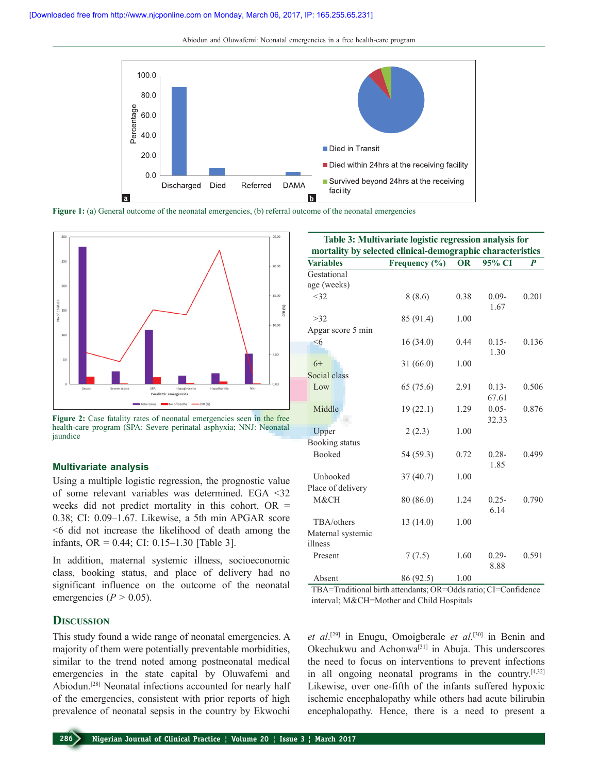Abiodun and Oluwafemi: Neonatal emergencies in a free health-care program



**Figure 1:** (a) General outcome of the neonatal emergencies, (b) referral outcome of the neonatal emergencies



Figure 2: Case fatality rates of neonatal emergencies seen in the free health-care program (SPA: Severe perinatal asphyxia; NNJ: Neonatal jaundice

#### **Multivariate analysis**

Using a multiple logistic regression, the prognostic value of some relevant variables was determined. EGA <32 weeks did not predict mortality in this cohort,  $OR =$ 0.38; CI: 0.09–1.67. Likewise, a 5th min APGAR score <6 did not increase the likelihood of death among the infants, OR = 0.44; CI: 0.15–1.30 [Table 3].

In addition, maternal systemic illness, socioeconomic class, booking status, and place of delivery had no significant influence on the outcome of the neonatal emergencies ( $P > 0.05$ ).

## **Discussion**

This study found a wide range of neonatal emergencies. A majority of them were potentially preventable morbidities, similar to the trend noted among postneonatal medical emergencies in the state capital by Oluwafemi and Abiodun.[28] Neonatal infections accounted for nearly half of the emergencies, consistent with prior reports of high prevalence of neonatal sepsis in the country by Ekwochi

| Table 3: Multivariate logistic regression analysis for<br>mortality by selected clinical-demographic characteristics |                 |                 |                   |       |
|----------------------------------------------------------------------------------------------------------------------|-----------------|-----------------|-------------------|-------|
| <b>Variables</b>                                                                                                     | Frequency (%)   | <b>OR</b>       | 95% CI            | P     |
| Gestational                                                                                                          |                 |                 |                   |       |
| age (weeks)                                                                                                          |                 |                 |                   |       |
| <32                                                                                                                  | 8(8.6)          | 0.38            | $0.09 -$<br>1.67  | 0.201 |
| >32                                                                                                                  | 85 (91.4)       | 1.00            |                   |       |
| Apgar score 5 min                                                                                                    |                 |                 |                   |       |
| $\leq 6$                                                                                                             | 16(34.0)        | 0.44            | $0.15 -$<br>1.30  | 0.136 |
| $6+$                                                                                                                 | 31(66.0)        | 1.00            |                   |       |
| Social class                                                                                                         |                 |                 |                   |       |
| Low                                                                                                                  | 65 (75.6)       | 2.91            | $0.13 -$<br>67.61 | 0.506 |
| Middle                                                                                                               | 19(22.1)        | 1.29            | $0.05 -$<br>32.33 | 0.876 |
| Upper                                                                                                                | 2(2.3)          | 1.00            |                   |       |
| <b>Booking</b> status                                                                                                |                 |                 |                   |       |
| Booked                                                                                                               | 54 (59.3)       | 0.72            | $0.28 -$<br>1.85  | 0.499 |
| Unbooked                                                                                                             | 37(40.7)        | 1.00            |                   |       |
| Place of delivery                                                                                                    |                 |                 |                   |       |
| M&CH                                                                                                                 | 80 (86.0)       | 1.24            | $0.25 -$<br>6.14  | 0.790 |
| TBA/others                                                                                                           | 13(14.0)        | 1.00            |                   |       |
| Maternal systemic<br>illness                                                                                         |                 |                 |                   |       |
| Present                                                                                                              | 7(7.5)          | 1.60            | $0.29 -$<br>8.88  | 0.591 |
| $\lambda$ 1 $\lambda$                                                                                                | $0 \leq \theta$ | $1 \cap \Omega$ |                   |       |

Absent 86 (92.5) 1.00

TBA=Traditional birth attendants; OR=Odds ratio; CI=Confidence interval; M&CH=Mother and Child Hospitals

*et al*. [29] in Enugu, Omoigberale *et al*. [30] in Benin and Okechukwu and Achonwa[31] in Abuja. This underscores the need to focus on interventions to prevent infections in all ongoing neonatal programs in the country. $[4,32]$ Likewise, over one-fifth of the infants suffered hypoxic ischemic encephalopathy while others had acute bilirubin encephalopathy. Hence, there is a need to present a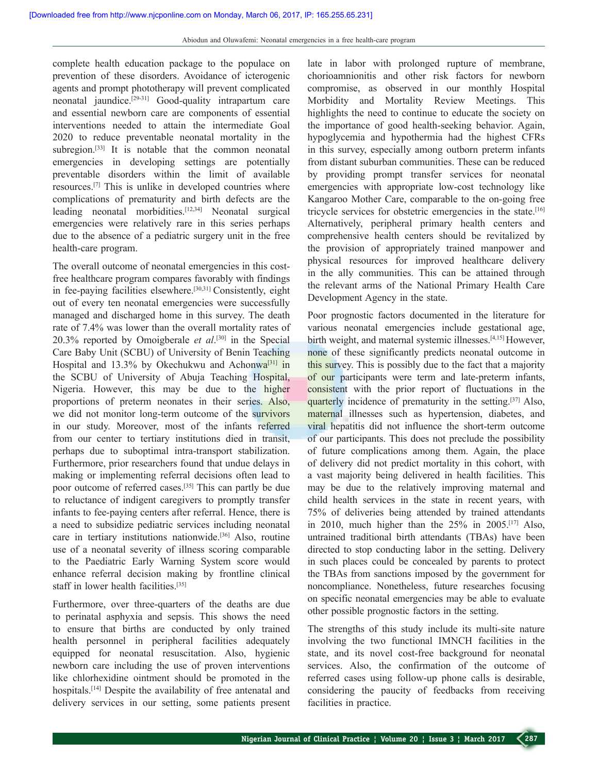complete health education package to the populace on prevention of these disorders. Avoidance of icterogenic agents and prompt phototherapy will prevent complicated neonatal jaundice.[29-31] Good-quality intrapartum care and essential newborn care are components of essential interventions needed to attain the intermediate Goal 2020 to reduce preventable neonatal mortality in the subregion.<sup>[33]</sup> It is notable that the common neonatal emergencies in developing settings are potentially preventable disorders within the limit of available resources.[7] This is unlike in developed countries where complications of prematurity and birth defects are the leading neonatal morbidities.[12,34] Neonatal surgical emergencies were relatively rare in this series perhaps due to the absence of a pediatric surgery unit in the free health-care program.

The overall outcome of neonatal emergencies in this costfree healthcare program compares favorably with findings in fee-paying facilities elsewhere.[30,31] Consistently, eight out of every ten neonatal emergencies were successfully managed and discharged home in this survey. The death rate of 7.4% was lower than the overall mortality rates of 20.3% reported by Omoigberale *et al*. [30] in the Special Care Baby Unit (SCBU) of University of Benin Teaching Hospital and 13.3% by Okechukwu and Achonwa<sup>[31]</sup> in the SCBU of University of Abuja Teaching Hospital, Nigeria. However, this may be due to the higher proportions of preterm neonates in their series. Also, we did not monitor long-term outcome of the survivors in our study. Moreover, most of the infants referred from our center to tertiary institutions died in transit, perhaps due to suboptimal intra-transport stabilization. Furthermore, prior researchers found that undue delays in making or implementing referral decisions often lead to poor outcome of referred cases.[35] This can partly be due to reluctance of indigent caregivers to promptly transfer infants to fee-paying centers after referral. Hence, there is a need to subsidize pediatric services including neonatal care in tertiary institutions nationwide.[36] Also, routine use of a neonatal severity of illness scoring comparable to the Paediatric Early Warning System score would enhance referral decision making by frontline clinical staff in lower health facilities.[35]

Furthermore, over three-quarters of the deaths are due to perinatal asphyxia and sepsis. This shows the need to ensure that births are conducted by only trained health personnel in peripheral facilities adequately equipped for neonatal resuscitation. Also, hygienic newborn care including the use of proven interventions like chlorhexidine ointment should be promoted in the hospitals.<sup>[14]</sup> Despite the availability of free antenatal and delivery services in our setting, some patients present late in labor with prolonged rupture of membrane, chorioamnionitis and other risk factors for newborn compromise, as observed in our monthly Hospital Morbidity and Mortality Review Meetings. This highlights the need to continue to educate the society on the importance of good health-seeking behavior. Again, hypoglycemia and hypothermia had the highest CFRs in this survey, especially among outborn preterm infants from distant suburban communities. These can be reduced by providing prompt transfer services for neonatal emergencies with appropriate low-cost technology like Kangaroo Mother Care, comparable to the on-going free tricycle services for obstetric emergencies in the state.[16] Alternatively, peripheral primary health centers and comprehensive health centers should be revitalized by the provision of appropriately trained manpower and physical resources for improved healthcare delivery in the ally communities. This can be attained through the relevant arms of the National Primary Health Care Development Agency in the state.

Poor prognostic factors documented in the literature for various neonatal emergencies include gestational age, birth weight, and maternal systemic illnesses.[4,15] However, none of these significantly predicts neonatal outcome in this survey. This is possibly due to the fact that a majority of our participants were term and late-preterm infants, consistent with the prior report of fluctuations in the quarterly incidence of prematurity in the setting.[37] Also, maternal illnesses such as hypertension, diabetes, and viral hepatitis did not influence the short-term outcome of our participants. This does not preclude the possibility of future complications among them. Again, the place of delivery did not predict mortality in this cohort, with a vast majority being delivered in health facilities. This may be due to the relatively improving maternal and child health services in the state in recent years, with 75% of deliveries being attended by trained attendants in 2010, much higher than the  $25\%$  in 2005.<sup>[17]</sup> Also, untrained traditional birth attendants (TBAs) have been directed to stop conducting labor in the setting. Delivery in such places could be concealed by parents to protect the TBAs from sanctions imposed by the government for noncompliance. Nonetheless, future researches focusing on specific neonatal emergencies may be able to evaluate other possible prognostic factors in the setting.

The strengths of this study include its multi-site nature involving the two functional IMNCH facilities in the state, and its novel cost-free background for neonatal services. Also, the confirmation of the outcome of referred cases using follow-up phone calls is desirable, considering the paucity of feedbacks from receiving facilities in practice.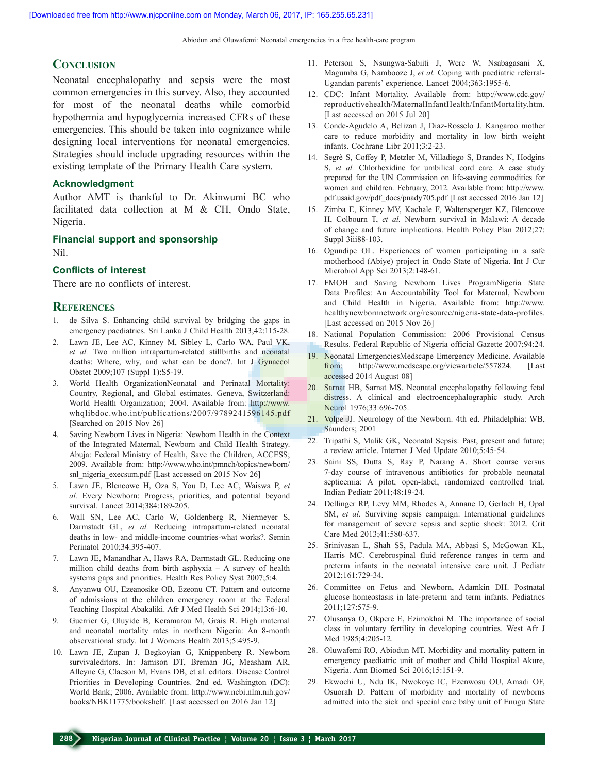Abiodun and Oluwafemi: Neonatal emergencies in a free health-care program

## **Conclusion**

Neonatal encephalopathy and sepsis were the most common emergencies in this survey. Also, they accounted for most of the neonatal deaths while comorbid hypothermia and hypoglycemia increased CFRs of these emergencies. This should be taken into cognizance while designing local interventions for neonatal emergencies. Strategies should include upgrading resources within the existing template of the Primary Health Care system.

#### **Acknowledgment**

Author AMT is thankful to Dr. Akinwumi BC who facilitated data collection at M & CH, Ondo State, Nigeria.

#### **Financial support and sponsorship**

Nil.

#### **Conflicts of interest**

There are no conflicts of interest.

#### **References**

- 1. de Silva S. Enhancing child survival by bridging the gaps in emergency paediatrics. Sri Lanka J Child Health 2013;42:115-28.
- 2. Lawn JE, Lee AC, Kinney M, Sibley L, Carlo WA, Paul VK, *et al.* Two million intrapartum-related stillbirths and neonatal deaths: Where, why, and what can be done?. Int J Gynaecol Obstet 2009;107 (Suppl 1):S5-19.
- 3. World Health OrganizationNeonatal and Perinatal Mortality: Country, Regional, and Global estimates. Geneva, Switzerland: World Health Organization; 2004. Available from: http://www. whqlibdoc.who.int/publications/2007/9789241596145.pdf [Searched on 2015 Nov 26]
- 4. Saving Newborn Lives in Nigeria: Newborn Health in the Context of the Integrated Maternal, Newborn and Child Health Strategy. Abuja: Federal Ministry of Health, Save the Children, ACCESS; 2009. Available from: http://www.who.int/pmnch/topics/newborn/ snl\_nigeria\_execsum.pdf [Last accessed on 2015 Nov 26]
- 5. Lawn JE, Blencowe H, Oza S, You D, Lee AC, Waiswa P, *et al.* Every Newborn: Progress, priorities, and potential beyond survival. Lancet 2014;384:189-205.
- 6. Wall SN, Lee AC, Carlo W, Goldenberg R, Niermeyer S, Darmstadt GL, *et al.* Reducing intrapartum-related neonatal deaths in low- and middle-income countries-what works?. Semin Perinatol 2010;34:395-407.
- 7. Lawn JE, Manandhar A, Haws RA, Darmstadt GL. Reducing one million child deaths from birth asphyxia – A survey of health systems gaps and priorities. Health Res Policy Syst 2007;5:4.
- 8. Anyanwu OU, Ezeanosike OB, Ezeonu CT. Pattern and outcome of admissions at the children emergency room at the Federal Teaching Hospital Abakaliki. Afr J Med Health Sci 2014;13:6-10.
- 9. Guerrier G, Oluyide B, Keramarou M, Grais R. High maternal and neonatal mortality rates in northern Nigeria: An 8-month observational study. Int J Womens Health 2013;5:495-9.
- 10. Lawn JE, Zupan J, Begkoyian G, Knippenberg R. Newborn survivaleditors. In: Jamison DT, Breman JG, Measham AR, Alleyne G, Claeson M, Evans DB, et al. editors. Disease Control Priorities in Developing Countries. 2nd ed. Washington (DC): World Bank; 2006. Available from: http://www.ncbi.nlm.nih.gov/ books/NBK11775/bookshelf. [Last accessed on 2016 Jan 12]
- 11. Peterson S, Nsungwa-Sabiiti J, Were W, Nsabagasani X, Magumba G, Nambooze J, *et al.* Coping with paediatric referral-Ugandan parents' experience. Lancet 2004;363:1955-6.
- 12. CDC: Infant Mortality. Available from: http://www.cdc.gov/ reproductivehealth/MaternalInfantHealth/InfantMortality.htm. [Last accessed on 2015 Jul 20]
- 13. Conde-Agudelo A, Belizan J, Diaz-Rosselo J. Kangaroo mother care to reduce morbidity and mortality in low birth weight infants. Cochrane Libr 2011;3:2-23.
- 14. Segrè S, Coffey P, Metzler M, Villadiego S, Brandes N, Hodgins S, *et al.* Chlorhexidine for umbilical cord care. A case study prepared for the UN Commission on life-saving commodities for women and children. February, 2012. Available from: http://www. pdf.usaid.gov/pdf\_docs/pnady705.pdf [Last accessed 2016 Jan 12]
- 15. Zimba E, Kinney MV, Kachale F, Waltensperger KZ, Blencowe H, Colbourn T, *et al.* Newborn survival in Malawi: A decade of change and future implications. Health Policy Plan 2012;27: Suppl 3iii88-103.
- 16. Ogundipe OL. Experiences of women participating in a safe motherhood (Abiye) project in Ondo State of Nigeria. Int J Cur Microbiol App Sci 2013;2:148-61.
- 17. FMOH and Saving Newborn Lives ProgramNigeria State Data Profiles: An Accountability Tool for Maternal, Newborn and Child Health in Nigeria. Available from: http://www. healthynewbornnetwork.org/resource/nigeria-state-data-profiles. [Last accessed on 2015 Nov 26]
- 18. National Population Commission: 2006 Provisional Census Results. Federal Republic of Nigeria official Gazette 2007;94:24.
- 19. Neonatal EmergenciesMedscape Emergency Medicine. Available from: http://www.medscape.org/viewarticle/557824. [Last accessed 2014 August 08]
- 20. Sarnat HB, Sarnat MS. Neonatal encephalopathy following fetal distress. A clinical and electroencephalographic study. Arch Neurol 1976;33:696-705.
- 21. Volpe JJ. Neurology of the Newborn. 4th ed. Philadelphia: WB, Saunders; 2001
- 22. Tripathi S, Malik GK, Neonatal Sepsis: Past, present and future; a review article. Internet J Med Update 2010;5:45-54.
- 23. Saini SS, Dutta S, Ray P, Narang A. Short course versus 7-day course of intravenous antibiotics for probable neonatal septicemia: A pilot, open-label, randomized controlled trial. Indian Pediatr 2011;48:19-24.
- 24. Dellinger RP, Levy MM, Rhodes A, Annane D, Gerlach H, Opal SM, et al. Surviving sepsis campaign: International guidelines for management of severe sepsis and septic shock: 2012. Crit Care Med 2013;41:580-637.
- 25. Srinivasan L, Shah SS, Padula MA, Abbasi S, McGowan KL, Harris MC. Cerebrospinal fluid reference ranges in term and preterm infants in the neonatal intensive care unit. J Pediatr 2012;161:729-34.
- 26. Committee on Fetus and Newborn, Adamkin DH. Postnatal glucose homeostasis in late-preterm and term infants. Pediatrics 2011;127:575-9.
- 27. Olusanya O, Okpere E, Ezimokhai M. The importance of social class in voluntary fertility in developing countries. West Afr J Med 1985;4:205-12.
- 28. Oluwafemi RO, Abiodun MT. Morbidity and mortality pattern in emergency paediatric unit of mother and Child Hospital Akure, Nigeria. Ann Biomed Sci 2016;15:151-9.
- 29. Ekwochi U, Ndu IK, Nwokoye IC, Ezenwosu OU, Amadi OF, Osuorah D. Pattern of morbidity and mortality of newborns admitted into the sick and special care baby unit of Enugu State